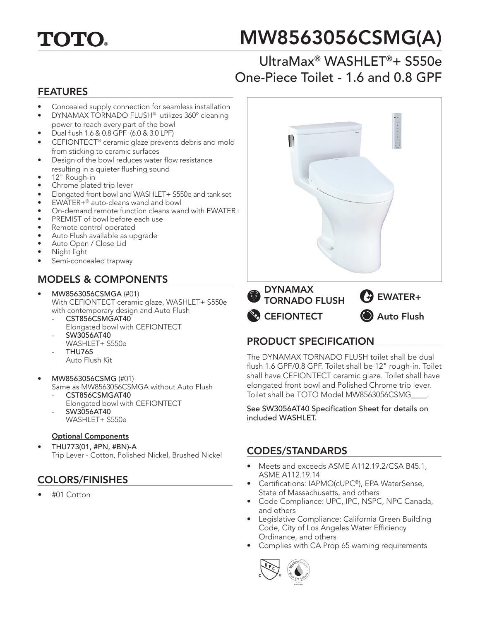

# MW8563056CSMG(A)

# UltraMax® WASHLET®+ S550e One-Piece Toilet - 1.6 and 0.8 GPF

#### FEATURES

- Concealed supply connection for seamless installation
- DYNAMAX TORNADO FLUSH® utilizes 360º cleaning power to reach every part of the bowl
- Dual flush 1.6 & 0.8 GPF (6.0 & 3.0 LPF)
- CEFIONTECT® ceramic glaze prevents debris and mold from sticking to ceramic surfaces
- Design of the bowl reduces water flow resistance resulting in a quieter flushing sound
- 12" Rough-in
- Chrome plated trip lever
- Elongated front bowl and WASHLET+ S550e and tank set
- EWATER+® auto-cleans wand and bowl
- On-demand remote function cleans wand with EWATER+
- PREMIST of bowl before each use
- Remote control operated
- Auto Flush available as upgrade
- Auto Open / Close Lid
- Night light
- Semi-concealed trapway

## MODELS & COMPONENTS

- MW8563056CSMGA (#01) With CEFIONTECT ceramic glaze, WASHLET+ S550e with contemporary design and Auto Flush
	- CST856CSMGAT40 Elongated bowl with CEFIONTECT - SW3056AT40
	- WASHLET+ S550e
	- THU765 Auto Flush Kit
- MW8563056CSMG (#01)
	- Same as MW8563056CSMGA without Auto Flush CST856CSMGAT40
	- Elongated bowl with CEFIONTECT
	- SW3056AT40
	- WASHLET+ S550e

#### Optional Components

• THU773(01, #PN, #BN)-A Trip Lever - Cotton, Polished Nickel, Brushed Nickel

#### COLORS/FINISHES

• #01 Cotton



#### PRODUCT SPECIFICATION

The DYNAMAX TORNADO FLUSH toilet shall be dual flush 1.6 GPF/0.8 GPF. Toilet shall be 12" rough-in. Toilet shall have CEFIONTECT ceramic glaze. Toilet shall have elongated front bowl and Polished Chrome trip lever. Toilet shall be TOTO Model MW8563056CSMG\_\_\_\_.

See SW3056AT40 Specification Sheet for details on included WASHLET.

#### CODES/STANDARDS

- Meets and exceeds ASME A112.19.2/CSA B45.1, ASME A112.19.14
- Certifications: IAPMO(cUPC®), EPA WaterSense, State of Massachusetts, and others
- Code Compliance: UPC, IPC, NSPC, NPC Canada, and others
- Legislative Compliance: California Green Building Code, City of Los Angeles Water Efficiency Ordinance, and others
- Complies with CA Prop 65 warning requirements